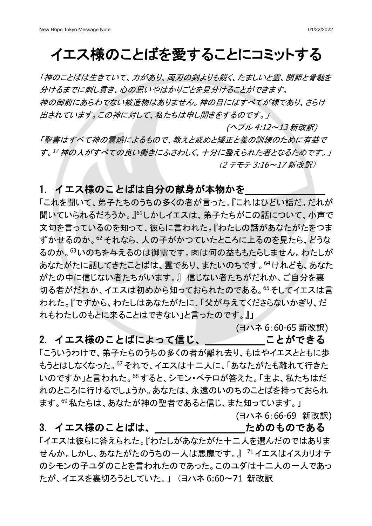# イエス様のことばを愛することにコミットする

「神のことばは生きていて、力があり、両刃の剣よりも鋭く、たましいと霊、関節と骨髄を 分けるまでに刺し貫き、心の思いやはかりごとを見分けることができます。 神の御前にあらわでない被造物はありません。神の目にはすべてが裸であり、さらけ 出されています。この神に対して、私たちは申し開きをするのです。」

 (ヘブル 4:12~13 新改訳) 「聖書はすべて神の霊感によるもので、教えと戒めと矯正と義の訓練のために有益で す。<sup>17</sup> 神の人がすべての良い働きにふさわしく、十分に整えられた者となるためです。」 (2 テモテ 3:16~17 新改訳)

## 1. イエス様のことばは自分の献身が本物かを

「これを聞いて、弟子たちのうちの多くの者が言った。『これはひどい話だ。だれが 聞いていられるだろうか。』<sup>61</sup>しかしイエスは、弟子たちがこの話について、小声で 文句を言っているのを知って、彼らに言われた。『わたしの話があなたがたをつま ずかせるのか。<sup>62</sup> それなら、人の子がかつていたところに上るのを見たら、どうな るのか。<sup>63</sup>いのちを与えるのは御霊です。肉は何の益ももたらしません。わたしが あなたがたに話してきたことばは、霊であり、またいのちです。<sup>64</sup>けれども、あなた がたの中に信じない者たちがいます。』 信じない者たちがだれか、ご自分を裏 切る者がだれか、イエスは初めから知っておられたのである。<sup>65</sup>そしてイエスは言 われた。『ですから、わたしはあなたがたに、「父が与えてくださらないかぎり、だ れもわたしのもとに来ることはできない」と言ったのです。』」

(ヨハネ 6:60-65 新改訳)

2. イエス様のことばによって信じ、 アンチャングできる

「こういうわけで、弟子たちのうちの多くの者が離れ去り、もはやイエスとともに歩 もうとはしなくなった。<sup>67</sup> それで、イエスは十二人に、「あなたがたも離れて行きた いのですか」と言われた。68すると、シモン・ペテロが答えた。「主よ、私たちはだ れのところに行けるでしょうか。あなたは、永遠のいのちのことばを持っておられ ます。69私たちは、あなたが神の聖者であると信じ、また知っています。」

(ヨハネ 6:66-69 新改訳)

#### 3. イエス様のことばは、 いっかん ためのものである

「イエスは彼らに答えられた。『わたしがあなたがた十二人を選んだのではありま せんか。しかし、あなたがたのうちの一人は悪魔です。』 <sup>71</sup> イエスはイスカリオテ のシモンの子ユダのことを言われたのであった。このユダは十二人の一人であっ たが、イエスを裏切ろうとしていた。」 (ヨハネ 6:60~71 新改訳